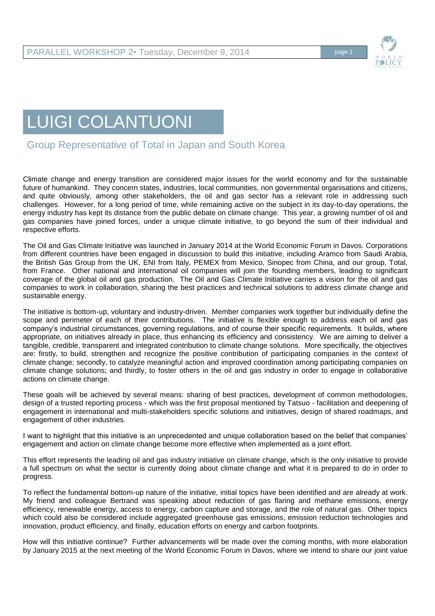

## LUIGI COLANTUONI

Group Representative of Total in Japan and South Korea

Climate change and energy transition are considered major issues for the world economy and for the sustainable future of humankind. They concern states, industries, local communities, non governmental organisations and citizens, and quite obviously, among other stakeholders, the oil and gas sector has a relevant role in addressing such challenges. However, for a long period of time, while remaining active on the subject in its day-to-day operations, the energy industry has kept its distance from the public debate on climate change. This year, a growing number of oil and gas companies have joined forces, under a unique climate initiative, to go beyond the sum of their individual and respective efforts.

The Oil and Gas Climate Initiative was launched in January 2014 at the World Economic Forum in Davos. Corporations from different countries have been engaged in discussion to build this initiative, including Aramco from Saudi Arabia, the British Gas Group from the UK, ENI from Italy, PEMEX from Mexico, Sinopec from China, and our group, Total, from France. Other national and international oil companies will join the founding members, leading to significant coverage of the global oil and gas production. The Oil and Gas Climate Initiative carries a vision for the oil and gas companies to work in collaboration, sharing the best practices and technical solutions to address climate change and sustainable energy.

The initiative is bottom-up, voluntary and industry-driven. Member companies work together but individually define the scope and perimeter of each of their contributions. The initiative is flexible enough to address each oil and gas company's industrial circumstances, governing regulations, and of course their specific requirements. It builds, where appropriate, on initiatives already in place, thus enhancing its efficiency and consistency. We are aiming to deliver a tangible, credible, transparent and integrated contribution to climate change solutions. More specifically, the objectives are: firstly, to build, strengthen and recognize the positive contribution of participating companies in the context of climate change; secondly, to catalyze meaningful action and improved coordination among participating companies on climate change solutions; and thirdly, to foster others in the oil and gas industry in order to engage in collaborative actions on climate change.

These goals will be achieved by several means: sharing of best practices, development of common methodologies, design of a trusted reporting process - which was the first proposal mentioned by Tatsuo - facilitation and deepening of engagement in international and multi-stakeholders specific solutions and initiatives, design of shared roadmaps, and engagement of other industries.

I want to highlight that this initiative is an unprecedented and unique collaboration based on the belief that companies' engagement and action on climate change become more effective when implemented as a joint effort.

This effort represents the leading oil and gas industry initiative on climate change, which is the only initiative to provide a full spectrum on what the sector is currently doing about climate change and what it is prepared to do in order to progress.

To reflect the fundamental bottom-up nature of the initiative, initial topics have been identified and are already at work. My friend and colleague Bertrand was speaking about reduction of gas flaring and methane emissions, energy efficiency, renewable energy, access to energy, carbon capture and storage, and the role of natural gas. Other topics which could also be considered include aggregated greenhouse gas emissions, emission reduction technologies and innovation, product efficiency, and finally, education efforts on energy and carbon footprints.

How will this initiative continue? Further advancements will be made over the coming months, with more elaboration by January 2015 at the next meeting of the World Economic Forum in Davos, where we intend to share our joint value